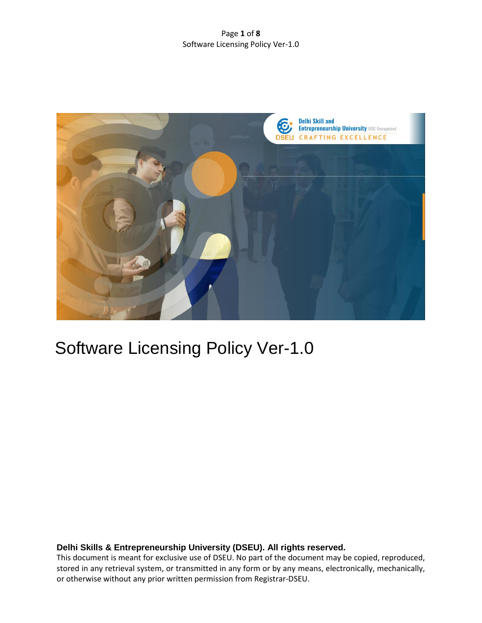### Page **1** of **8** Software Licensing Policy Ver-1.0



# Software Licensing Policy Ver-1.0

# **Delhi Skills & Entrepreneurship University (DSEU). All rights reserved.**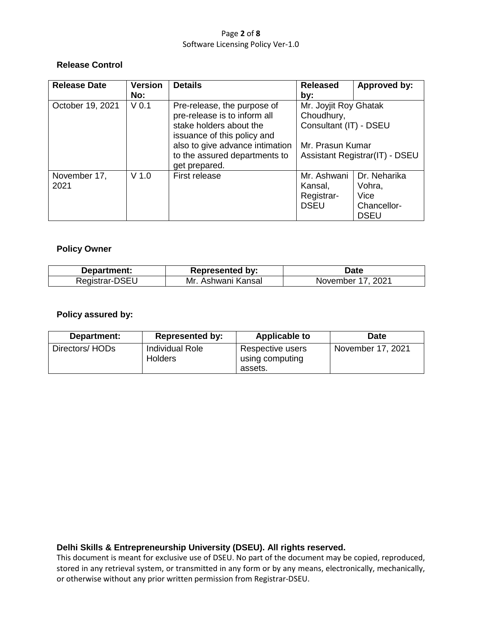#### Page **2** of **8** Software Licensing Policy Ver-1.0

# **Release Control**

| <b>Release Date</b> | <b>Version</b>   | <b>Details</b>                                         | <b>Released</b>                                               | Approved by: |
|---------------------|------------------|--------------------------------------------------------|---------------------------------------------------------------|--------------|
|                     | No:              |                                                        | by:                                                           |              |
| October 19, 2021    | V <sub>0.1</sub> | Pre-release, the purpose of                            | Mr. Joyjit Roy Ghatak<br>Choudhury,<br>Consultant (IT) - DSEU |              |
|                     |                  | pre-release is to inform all                           |                                                               |              |
|                     |                  | stake holders about the<br>issuance of this policy and |                                                               |              |
|                     |                  | also to give advance intimation                        | Mr. Prasun Kumar                                              |              |
|                     |                  | to the assured departments to<br>get prepared.         | Assistant Registrar(IT) - DSEU                                |              |
| November 17,        | $V$ 1.0          | First release                                          | Mr. Ashwani                                                   | Dr. Neharika |
| 2021                |                  |                                                        | Kansal,                                                       | Vohra,       |
|                     |                  |                                                        | Registrar-                                                    | Vice         |
|                     |                  |                                                        | <b>DSEU</b>                                                   | Chancellor-  |
|                     |                  |                                                        |                                                               | <b>DSEU</b>  |

# **Policy Owner**

| Department: | <b>Represented by:</b> | <b>Date</b>                 |
|-------------|------------------------|-----------------------------|
| ker         | Mr<br>ansal<br>wani    | ∍ממ<br>mnei<br><b>NOVEI</b> |

# **Policy assured by:**

| Department:    | <b>Represented by:</b>                   | <b>Applicable to</b>                           | <b>Date</b>       |
|----------------|------------------------------------------|------------------------------------------------|-------------------|
| Directors/HODs | <b>Individual Role</b><br><b>Holders</b> | Respective users<br>using computing<br>assets. | November 17, 2021 |

# **Delhi Skills & Entrepreneurship University (DSEU). All rights reserved.**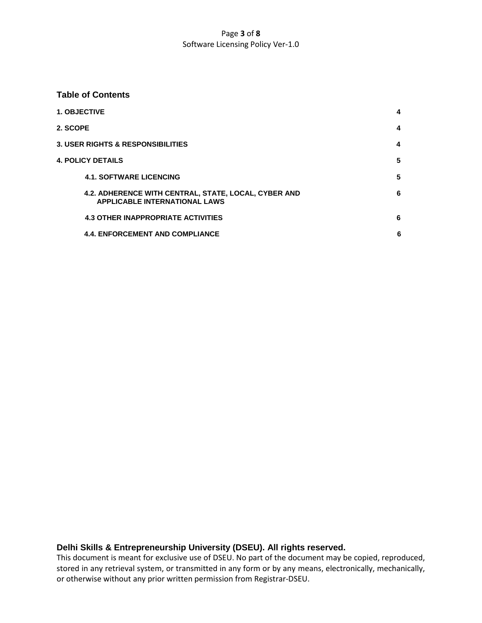### Page **3** of **8** Software Licensing Policy Ver-1.0

#### **Table of Contents**

|          | <b>1. OBJECTIVE</b>                                                                          | 4 |
|----------|----------------------------------------------------------------------------------------------|---|
| 2. SCOPE |                                                                                              | 4 |
|          | <b>3. USER RIGHTS &amp; RESPONSIBILITIES</b>                                                 | 4 |
|          | <b>4. POLICY DETAILS</b>                                                                     | 5 |
|          | <b>4.1. SOFTWARE LICENCING</b>                                                               | 5 |
|          | 4.2. ADHERENCE WITH CENTRAL, STATE, LOCAL, CYBER AND<br><b>APPLICABLE INTERNATIONAL LAWS</b> | 6 |
|          | <b>4.3 OTHER INAPPROPRIATE ACTIVITIES</b>                                                    | 6 |
|          | <b>4.4. ENFORCEMENT AND COMPLIANCE</b>                                                       | 6 |

# **Delhi Skills & Entrepreneurship University (DSEU). All rights reserved.**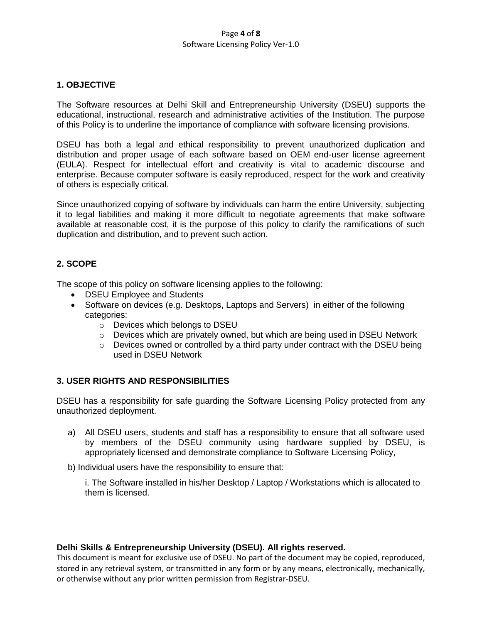#### Page **4** of **8** Software Licensing Policy Ver-1.0

## **1. OBJECTIVE**

The Software resources at Delhi Skill and Entrepreneurship University (DSEU) supports the educational, instructional, research and administrative activities of the Institution. The purpose of this Policy is to underline the importance of compliance with software licensing provisions.

DSEU has both a legal and ethical responsibility to prevent unauthorized duplication and distribution and proper usage of each software based on OEM end-user license agreement (EULA). Respect for intellectual effort and creativity is vital to academic discourse and enterprise. Because computer software is easily reproduced, respect for the work and creativity of others is especially critical.

Since unauthorized copying of software by individuals can harm the entire University, subjecting it to legal liabilities and making it more difficult to negotiate agreements that make software available at reasonable cost, it is the purpose of this policy to clarify the ramifications of such duplication and distribution, and to prevent such action.

# **2. SCOPE**

The scope of this policy on software licensing applies to the following:

- DSEU Employee and Students
- Software on devices (e.g. Desktops, Laptops and Servers) in either of the following categories:
	- o Devices which belongs to DSEU
	- $\circ$  Devices which are privately owned, but which are being used in DSEU Network
	- $\circ$  Devices owned or controlled by a third party under contract with the DSEU being used in DSEU Network

# **3. USER RIGHTS AND RESPONSIBILITIES**

DSEU has a responsibility for safe guarding the Software Licensing Policy protected from any unauthorized deployment.

a) All DSEU users, students and staff has a responsibility to ensure that all software used by members of the DSEU community using hardware supplied by DSEU, is appropriately licensed and demonstrate compliance to Software Licensing Policy,

b) Individual users have the responsibility to ensure that:

i. The Software installed in his/her Desktop / Laptop / Workstations which is allocated to them is licensed.

#### **Delhi Skills & Entrepreneurship University (DSEU). All rights reserved.**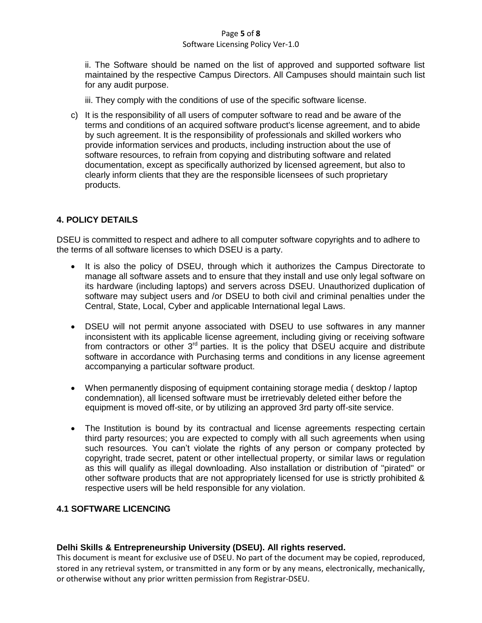# Page **5** of **8**

#### Software Licensing Policy Ver-1.0

ii. The Software should be named on the list of approved and supported software list maintained by the respective Campus Directors. All Campuses should maintain such list for any audit purpose.

iii. They comply with the conditions of use of the specific software license.

c) It is the responsibility of all users of computer software to read and be aware of the terms and conditions of an acquired software product's license agreement, and to abide by such agreement. It is the responsibility of professionals and skilled workers who provide information services and products, including instruction about the use of software resources, to refrain from copying and distributing software and related documentation, except as specifically authorized by licensed agreement, but also to clearly inform clients that they are the responsible licensees of such proprietary products.

# **4. POLICY DETAILS**

DSEU is committed to respect and adhere to all computer software copyrights and to adhere to the terms of all software licenses to which DSEU is a party.

- It is also the policy of DSEU, through which it authorizes the Campus Directorate to manage all software assets and to ensure that they install and use only legal software on its hardware (including laptops) and servers across DSEU. Unauthorized duplication of software may subject users and /or DSEU to both civil and criminal penalties under the Central, State, Local, Cyber and applicable International legal Laws.
- DSEU will not permit anyone associated with DSEU to use softwares in any manner inconsistent with its applicable license agreement, including giving or receiving software from contractors or other  $3<sup>rd</sup>$  parties. It is the policy that  $\overline{DSEU}$  acquire and distribute software in accordance with Purchasing terms and conditions in any license agreement accompanying a particular software product.
- When permanently disposing of equipment containing storage media ( desktop / laptop condemnation), all licensed software must be irretrievably deleted either before the equipment is moved off-site, or by utilizing an approved 3rd party off-site service.
- The Institution is bound by its contractual and license agreements respecting certain third party resources; you are expected to comply with all such agreements when using such resources. You can't violate the rights of any person or company protected by copyright, trade secret, patent or other intellectual property, or similar laws or regulation as this will qualify as illegal downloading. Also installation or distribution of "pirated" or other software products that are not appropriately licensed for use is strictly prohibited & respective users will be held responsible for any violation.

# **4.1 SOFTWARE LICENCING**

# **Delhi Skills & Entrepreneurship University (DSEU). All rights reserved.**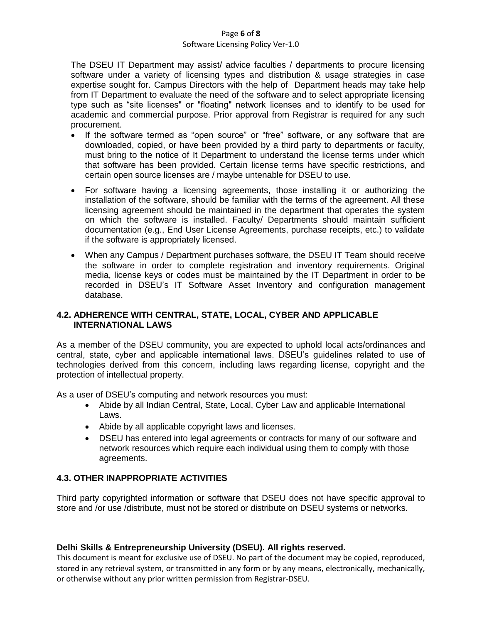#### Page **6** of **8**

#### Software Licensing Policy Ver-1.0

The DSEU IT Department may assist/ advice faculties / departments to procure licensing software under a variety of licensing types and distribution & usage strategies in case expertise sought for. Campus Directors with the help of Department heads may take help from IT Department to evaluate the need of the software and to select appropriate licensing type such as "site licenses" or "floating" network licenses and to identify to be used for academic and commercial purpose. Prior approval from Registrar is required for any such procurement.

- If the software termed as "open source" or "free" software, or any software that are downloaded, copied, or have been provided by a third party to departments or faculty, must bring to the notice of It Department to understand the license terms under which that software has been provided. Certain license terms have specific restrictions, and certain open source licenses are / maybe untenable for DSEU to use.
- For software having a licensing agreements, those installing it or authorizing the installation of the software, should be familiar with the terms of the agreement. All these licensing agreement should be maintained in the department that operates the system on which the software is installed. Faculty/ Departments should maintain sufficient documentation (e.g., End User License Agreements, purchase receipts, etc.) to validate if the software is appropriately licensed.
- When any Campus / Department purchases software, the DSEU IT Team should receive the software in order to complete registration and inventory requirements. Original media, license keys or codes must be maintained by the IT Department in order to be recorded in DSEU's IT Software Asset Inventory and configuration management database.

# **4.2. ADHERENCE WITH CENTRAL, STATE, LOCAL, CYBER AND APPLICABLE INTERNATIONAL LAWS**

As a member of the DSEU community, you are expected to uphold local acts/ordinances and central, state, cyber and applicable international laws. DSEU's guidelines related to use of technologies derived from this concern, including laws regarding license, copyright and the protection of intellectual property.

As a user of DSEU's computing and network resources you must:

- Abide by all Indian Central, State, Local, Cyber Law and applicable International Laws.
- Abide by all applicable copyright laws and licenses.
- DSEU has entered into legal agreements or contracts for many of our software and network resources which require each individual using them to comply with those agreements.

# **4.3. OTHER INAPPROPRIATE ACTIVITIES**

Third party copyrighted information or software that DSEU does not have specific approval to store and /or use /distribute, must not be stored or distribute on DSEU systems or networks.

# **Delhi Skills & Entrepreneurship University (DSEU). All rights reserved.**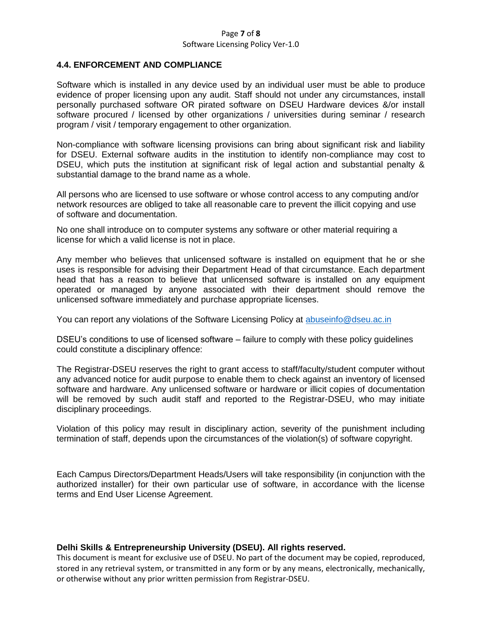#### Page **7** of **8** Software Licensing Policy Ver-1.0

## **4.4. ENFORCEMENT AND COMPLIANCE**

Software which is installed in any device used by an individual user must be able to produce evidence of proper licensing upon any audit. Staff should not under any circumstances, install personally purchased software OR pirated software on DSEU Hardware devices &/or install software procured / licensed by other organizations / universities during seminar / research program / visit / temporary engagement to other organization.

Non-compliance with software licensing provisions can bring about significant risk and liability for DSEU. External software audits in the institution to identify non-compliance may cost to DSEU, which puts the institution at significant risk of legal action and substantial penalty & substantial damage to the brand name as a whole.

All persons who are licensed to use software or whose control access to any computing and/or network resources are obliged to take all reasonable care to prevent the illicit copying and use of software and documentation.

No one shall introduce on to computer systems any software or other material requiring a license for which a valid license is not in place.

Any member who believes that unlicensed software is installed on equipment that he or she uses is responsible for advising their Department Head of that circumstance. Each department head that has a reason to believe that unlicensed software is installed on any equipment operated or managed by anyone associated with their department should remove the unlicensed software immediately and purchase appropriate licenses.

You can report any violations of the Software Licensing Policy at [abuseinfo@dseu.ac.in](mailto:abuseinfo@dseu.ac.in)

DSEU's conditions to use of licensed software – failure to comply with these policy guidelines could constitute a disciplinary offence:

The Registrar-DSEU reserves the right to grant access to staff/faculty/student computer without any advanced notice for audit purpose to enable them to check against an inventory of licensed software and hardware. Any unlicensed software or hardware or illicit copies of documentation will be removed by such audit staff and reported to the Registrar-DSEU, who may initiate disciplinary proceedings.

Violation of this policy may result in disciplinary action, severity of the punishment including termination of staff, depends upon the circumstances of the violation(s) of software copyright.

Each Campus Directors/Department Heads/Users will take responsibility (in conjunction with the authorized installer) for their own particular use of software, in accordance with the license terms and End User License Agreement.

#### **Delhi Skills & Entrepreneurship University (DSEU). All rights reserved.**